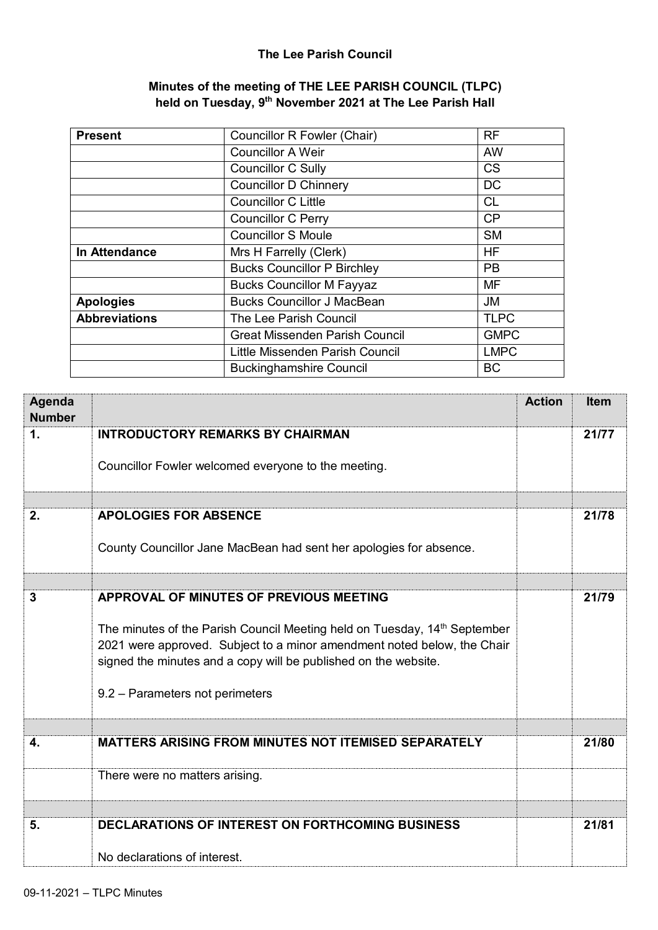## **The Lee Parish Council**

### **Minutes of the meeting of THE LEE PARISH COUNCIL (TLPC) held on Tuesday, 9 th November 2021 at The Lee Parish Hall**

| <b>Present</b>       | Councillor R Fowler (Chair)           | <b>RF</b>   |
|----------------------|---------------------------------------|-------------|
|                      | <b>Councillor A Weir</b>              | <b>AW</b>   |
|                      | <b>Councillor C Sully</b>             | <b>CS</b>   |
|                      | <b>Councillor D Chinnery</b>          | DC          |
|                      | <b>Councillor C Little</b>            | <b>CL</b>   |
|                      | <b>Councillor C Perry</b>             | CP          |
|                      | <b>Councillor S Moule</b>             | <b>SM</b>   |
| In Attendance        | Mrs H Farrelly (Clerk)                | <b>HF</b>   |
|                      | <b>Bucks Councillor P Birchley</b>    | <b>PB</b>   |
|                      | <b>Bucks Councillor M Fayyaz</b>      | <b>MF</b>   |
| <b>Apologies</b>     | <b>Bucks Councillor J MacBean</b>     | <b>JM</b>   |
| <b>Abbreviations</b> | The Lee Parish Council                | <b>TLPC</b> |
|                      | <b>Great Missenden Parish Council</b> | <b>GMPC</b> |
|                      | Little Missenden Parish Council       | <b>LMPC</b> |
|                      | <b>Buckinghamshire Council</b>        | <b>BC</b>   |

| Agenda<br><b>Number</b> |                                                                                                                                                                                                                                                                                                                   | <b>Action</b> | <b>Item</b> |
|-------------------------|-------------------------------------------------------------------------------------------------------------------------------------------------------------------------------------------------------------------------------------------------------------------------------------------------------------------|---------------|-------------|
| 1.                      | <b>INTRODUCTORY REMARKS BY CHAIRMAN</b><br>Councillor Fowler welcomed everyone to the meeting.                                                                                                                                                                                                                    |               | 21/77       |
| 2.                      | <b>APOLOGIES FOR ABSENCE</b><br>County Councillor Jane MacBean had sent her apologies for absence.                                                                                                                                                                                                                |               | 21/78       |
| $\mathbf{3}$            | APPROVAL OF MINUTES OF PREVIOUS MEETING<br>The minutes of the Parish Council Meeting held on Tuesday, 14 <sup>th</sup> September<br>2021 were approved. Subject to a minor amendment noted below, the Chair<br>signed the minutes and a copy will be published on the website.<br>9.2 - Parameters not perimeters |               | 21/79       |
| 4.                      | <b>MATTERS ARISING FROM MINUTES NOT ITEMISED SEPARATELY</b>                                                                                                                                                                                                                                                       |               | 21/80       |
|                         | There were no matters arising.                                                                                                                                                                                                                                                                                    |               |             |
| 5.                      | <b>DECLARATIONS OF INTEREST ON FORTHCOMING BUSINESS</b><br>No declarations of interest.                                                                                                                                                                                                                           |               | 21/81       |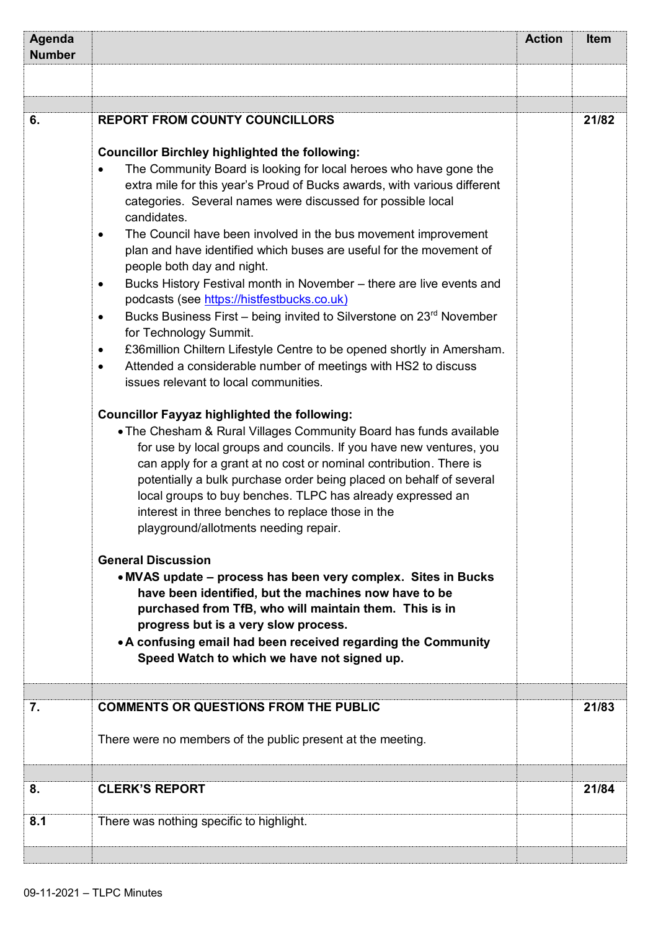| Agenda<br><b>Number</b> |                                                                                                                                                                                                                                                                                                                                                                                                                                                                                                                                                                                                                                                                                                                                                                                                                                                                                                                                                                                                                                                                                                                                                                                                                                                                                                                                                                                                                                                                                                                                                                                                                                                                                                                  | <b>Action</b> | <b>Item</b> |
|-------------------------|------------------------------------------------------------------------------------------------------------------------------------------------------------------------------------------------------------------------------------------------------------------------------------------------------------------------------------------------------------------------------------------------------------------------------------------------------------------------------------------------------------------------------------------------------------------------------------------------------------------------------------------------------------------------------------------------------------------------------------------------------------------------------------------------------------------------------------------------------------------------------------------------------------------------------------------------------------------------------------------------------------------------------------------------------------------------------------------------------------------------------------------------------------------------------------------------------------------------------------------------------------------------------------------------------------------------------------------------------------------------------------------------------------------------------------------------------------------------------------------------------------------------------------------------------------------------------------------------------------------------------------------------------------------------------------------------------------------|---------------|-------------|
|                         |                                                                                                                                                                                                                                                                                                                                                                                                                                                                                                                                                                                                                                                                                                                                                                                                                                                                                                                                                                                                                                                                                                                                                                                                                                                                                                                                                                                                                                                                                                                                                                                                                                                                                                                  |               |             |
|                         |                                                                                                                                                                                                                                                                                                                                                                                                                                                                                                                                                                                                                                                                                                                                                                                                                                                                                                                                                                                                                                                                                                                                                                                                                                                                                                                                                                                                                                                                                                                                                                                                                                                                                                                  |               |             |
| 6.                      | <b>REPORT FROM COUNTY COUNCILLORS</b><br><b>Councillor Birchley highlighted the following:</b><br>The Community Board is looking for local heroes who have gone the<br>extra mile for this year's Proud of Bucks awards, with various different<br>categories. Several names were discussed for possible local<br>candidates.<br>The Council have been involved in the bus movement improvement<br>$\bullet$<br>plan and have identified which buses are useful for the movement of<br>people both day and night.<br>Bucks History Festival month in November - there are live events and<br>$\bullet$<br>podcasts (see https://histfestbucks.co.uk)<br>Bucks Business First - being invited to Silverstone on 23rd November<br>$\bullet$<br>for Technology Summit.<br>£36million Chiltern Lifestyle Centre to be opened shortly in Amersham.<br>$\bullet$<br>Attended a considerable number of meetings with HS2 to discuss<br>$\bullet$<br>issues relevant to local communities.<br><b>Councillor Fayyaz highlighted the following:</b><br>. The Chesham & Rural Villages Community Board has funds available<br>for use by local groups and councils. If you have new ventures, you<br>can apply for a grant at no cost or nominal contribution. There is<br>potentially a bulk purchase order being placed on behalf of several<br>local groups to buy benches. TLPC has already expressed an<br>interest in three benches to replace those in the<br>playground/allotments needing repair.<br><b>General Discussion</b><br>• MVAS update – process has been very complex. Sites in Bucks<br>have been identified, but the machines now have to be<br>purchased from TfB, who will maintain them. This is in |               | 21/82       |
|                         | progress but is a very slow process.<br>• A confusing email had been received regarding the Community<br>Speed Watch to which we have not signed up.                                                                                                                                                                                                                                                                                                                                                                                                                                                                                                                                                                                                                                                                                                                                                                                                                                                                                                                                                                                                                                                                                                                                                                                                                                                                                                                                                                                                                                                                                                                                                             |               |             |
| 7.                      |                                                                                                                                                                                                                                                                                                                                                                                                                                                                                                                                                                                                                                                                                                                                                                                                                                                                                                                                                                                                                                                                                                                                                                                                                                                                                                                                                                                                                                                                                                                                                                                                                                                                                                                  |               | 21/83       |
|                         | <b>COMMENTS OR QUESTIONS FROM THE PUBLIC</b><br>There were no members of the public present at the meeting.                                                                                                                                                                                                                                                                                                                                                                                                                                                                                                                                                                                                                                                                                                                                                                                                                                                                                                                                                                                                                                                                                                                                                                                                                                                                                                                                                                                                                                                                                                                                                                                                      |               |             |
|                         |                                                                                                                                                                                                                                                                                                                                                                                                                                                                                                                                                                                                                                                                                                                                                                                                                                                                                                                                                                                                                                                                                                                                                                                                                                                                                                                                                                                                                                                                                                                                                                                                                                                                                                                  |               |             |
| 8.                      | <b>CLERK'S REPORT</b>                                                                                                                                                                                                                                                                                                                                                                                                                                                                                                                                                                                                                                                                                                                                                                                                                                                                                                                                                                                                                                                                                                                                                                                                                                                                                                                                                                                                                                                                                                                                                                                                                                                                                            |               | 21/84       |
| 8.1                     | There was nothing specific to highlight.                                                                                                                                                                                                                                                                                                                                                                                                                                                                                                                                                                                                                                                                                                                                                                                                                                                                                                                                                                                                                                                                                                                                                                                                                                                                                                                                                                                                                                                                                                                                                                                                                                                                         |               |             |
|                         |                                                                                                                                                                                                                                                                                                                                                                                                                                                                                                                                                                                                                                                                                                                                                                                                                                                                                                                                                                                                                                                                                                                                                                                                                                                                                                                                                                                                                                                                                                                                                                                                                                                                                                                  |               |             |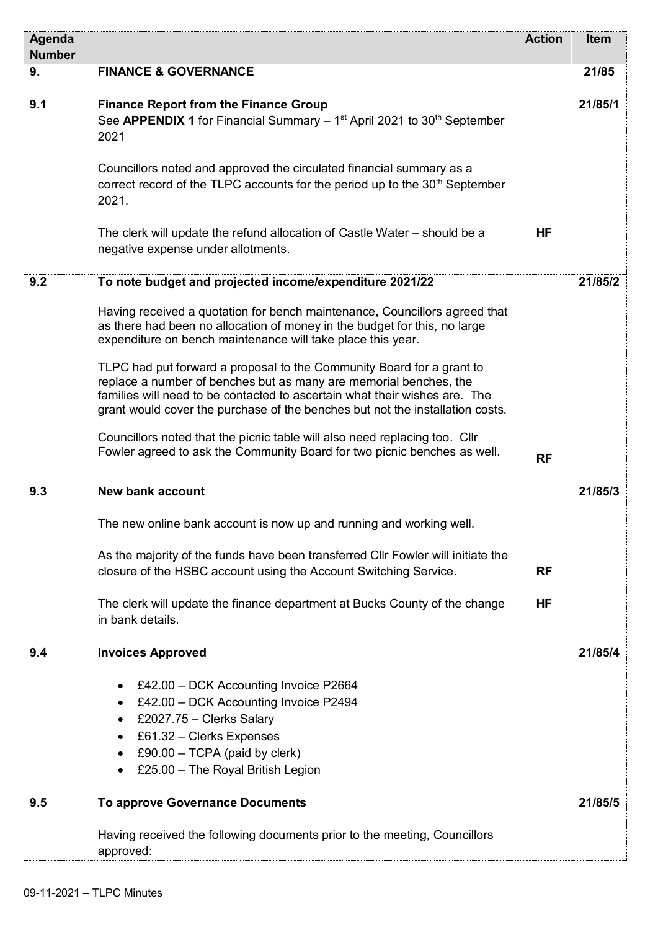| Agenda<br><b>Number</b> |                                                                                                                                                                                                                                                                                                                                                                                                                                                                                                                                                                                                                                                                                               | <b>Action</b>          | <b>Item</b> |
|-------------------------|-----------------------------------------------------------------------------------------------------------------------------------------------------------------------------------------------------------------------------------------------------------------------------------------------------------------------------------------------------------------------------------------------------------------------------------------------------------------------------------------------------------------------------------------------------------------------------------------------------------------------------------------------------------------------------------------------|------------------------|-------------|
| 9.                      | <b>FINANCE &amp; GOVERNANCE</b>                                                                                                                                                                                                                                                                                                                                                                                                                                                                                                                                                                                                                                                               |                        | 21/85       |
| 9.1                     | <b>Finance Report from the Finance Group</b><br>See APPENDIX 1 for Financial Summary $-1st$ April 2021 to 30 <sup>th</sup> September<br>2021<br>Councillors noted and approved the circulated financial summary as a<br>correct record of the TLPC accounts for the period up to the 30 <sup>th</sup> September<br>2021.<br>The clerk will update the refund allocation of Castle Water – should be a<br>negative expense under allotments.                                                                                                                                                                                                                                                   | <b>HF</b>              | 21/85/1     |
| 9.2                     | To note budget and projected income/expenditure 2021/22                                                                                                                                                                                                                                                                                                                                                                                                                                                                                                                                                                                                                                       |                        | 21/85/2     |
|                         | Having received a quotation for bench maintenance, Councillors agreed that<br>as there had been no allocation of money in the budget for this, no large<br>expenditure on bench maintenance will take place this year.<br>TLPC had put forward a proposal to the Community Board for a grant to<br>replace a number of benches but as many are memorial benches, the<br>families will need to be contacted to ascertain what their wishes are. The<br>grant would cover the purchase of the benches but not the installation costs.<br>Councillors noted that the picnic table will also need replacing too. Cllr<br>Fowler agreed to ask the Community Board for two picnic benches as well. | <b>RF</b>              |             |
| 9.3                     | <b>New bank account</b>                                                                                                                                                                                                                                                                                                                                                                                                                                                                                                                                                                                                                                                                       |                        | 21/85/3     |
|                         | The new online bank account is now up and running and working well.<br>As the majority of the funds have been transferred CIIr Fowler will initiate the<br>closure of the HSBC account using the Account Switching Service.<br>The clerk will update the finance department at Bucks County of the change<br>in bank details.                                                                                                                                                                                                                                                                                                                                                                 | <b>RF</b><br><b>HF</b> |             |
| 9.4                     | <b>Invoices Approved</b>                                                                                                                                                                                                                                                                                                                                                                                                                                                                                                                                                                                                                                                                      |                        | 21/85/4     |
|                         | £42.00 - DCK Accounting Invoice P2664<br>£42.00 - DCK Accounting Invoice P2494<br>£2027.75 - Clerks Salary<br>£61.32 - Clerks Expenses<br>$\bullet$<br>£90.00 $-$ TCPA (paid by clerk)<br>£25.00 - The Royal British Legion                                                                                                                                                                                                                                                                                                                                                                                                                                                                   |                        |             |
| 9.5                     | <b>To approve Governance Documents</b>                                                                                                                                                                                                                                                                                                                                                                                                                                                                                                                                                                                                                                                        |                        | 21/85/5     |
|                         | Having received the following documents prior to the meeting, Councillors<br>approved:                                                                                                                                                                                                                                                                                                                                                                                                                                                                                                                                                                                                        |                        |             |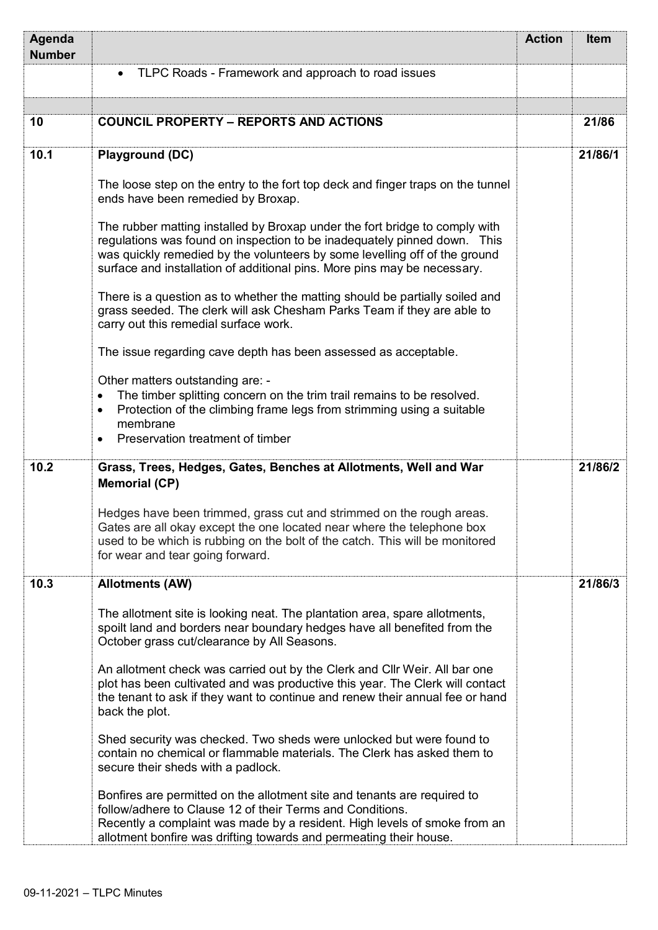| Agenda<br><b>Number</b> |                                                                                                                                                                                                                                                                                                                   | <b>Action</b> | <b>Item</b> |
|-------------------------|-------------------------------------------------------------------------------------------------------------------------------------------------------------------------------------------------------------------------------------------------------------------------------------------------------------------|---------------|-------------|
|                         | TLPC Roads - Framework and approach to road issues<br>$\bullet$                                                                                                                                                                                                                                                   |               |             |
|                         |                                                                                                                                                                                                                                                                                                                   |               |             |
| 10                      | <b>COUNCIL PROPERTY - REPORTS AND ACTIONS</b>                                                                                                                                                                                                                                                                     |               | 21/86       |
| 10.1                    | <b>Playground (DC)</b>                                                                                                                                                                                                                                                                                            |               | 21/86/1     |
|                         | The loose step on the entry to the fort top deck and finger traps on the tunnel<br>ends have been remedied by Broxap.                                                                                                                                                                                             |               |             |
|                         | The rubber matting installed by Broxap under the fort bridge to comply with<br>regulations was found on inspection to be inadequately pinned down. This<br>was quickly remedied by the volunteers by some levelling off of the ground<br>surface and installation of additional pins. More pins may be necessary. |               |             |
|                         | There is a question as to whether the matting should be partially soiled and<br>grass seeded. The clerk will ask Chesham Parks Team if they are able to<br>carry out this remedial surface work.                                                                                                                  |               |             |
|                         | The issue regarding cave depth has been assessed as acceptable.                                                                                                                                                                                                                                                   |               |             |
|                         | Other matters outstanding are: -<br>The timber splitting concern on the trim trail remains to be resolved.<br>$\bullet$<br>Protection of the climbing frame legs from strimming using a suitable<br>$\bullet$<br>membrane<br>Preservation treatment of timber                                                     |               |             |
| 10.2                    | Grass, Trees, Hedges, Gates, Benches at Allotments, Well and War<br><b>Memorial (CP)</b>                                                                                                                                                                                                                          |               | 21/86/2     |
|                         | Hedges have been trimmed, grass cut and strimmed on the rough areas.<br>Gates are all okay except the one located near where the telephone box<br>used to be which is rubbing on the bolt of the catch. This will be monitored<br>for wear and tear going forward.                                                |               |             |
| 10.3                    | <b>Allotments (AW)</b>                                                                                                                                                                                                                                                                                            |               | 21/86/3     |
|                         | The allotment site is looking neat. The plantation area, spare allotments,<br>spoilt land and borders near boundary hedges have all benefited from the<br>October grass cut/clearance by All Seasons.                                                                                                             |               |             |
|                         | An allotment check was carried out by the Clerk and Cllr Weir. All bar one<br>plot has been cultivated and was productive this year. The Clerk will contact<br>the tenant to ask if they want to continue and renew their annual fee or hand<br>back the plot.                                                    |               |             |
|                         | Shed security was checked. Two sheds were unlocked but were found to<br>contain no chemical or flammable materials. The Clerk has asked them to<br>secure their sheds with a padlock.                                                                                                                             |               |             |
|                         | Bonfires are permitted on the allotment site and tenants are required to<br>follow/adhere to Clause 12 of their Terms and Conditions.<br>Recently a complaint was made by a resident. High levels of smoke from an<br>allotment bonfire was drifting towards and permeating their house.                          |               |             |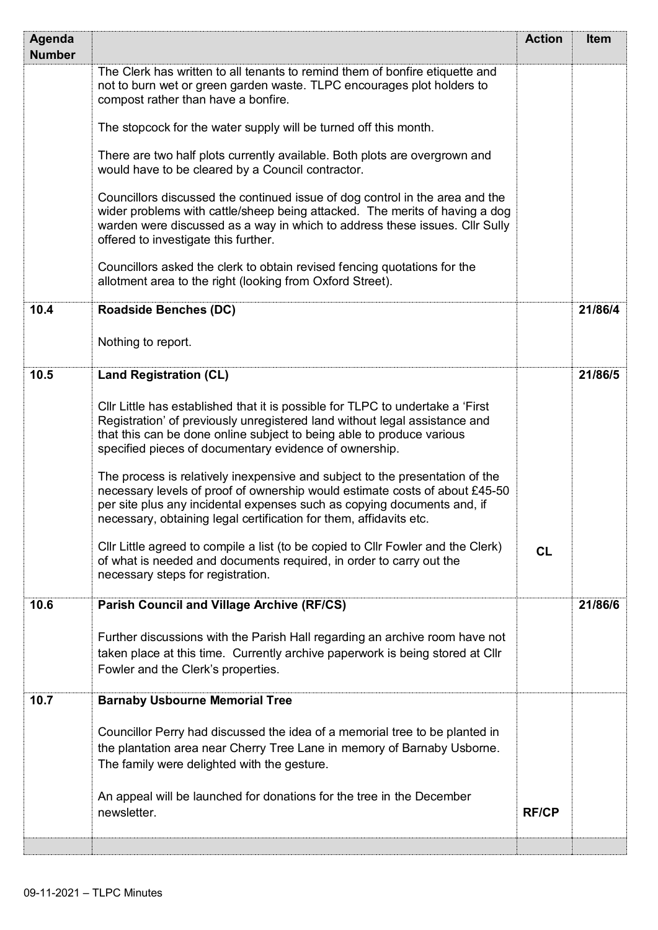| Agenda        |                                                                                                                                                                                                                                                                                                              | <b>Action</b> | Item    |
|---------------|--------------------------------------------------------------------------------------------------------------------------------------------------------------------------------------------------------------------------------------------------------------------------------------------------------------|---------------|---------|
| <b>Number</b> |                                                                                                                                                                                                                                                                                                              |               |         |
|               | The Clerk has written to all tenants to remind them of bonfire etiquette and<br>not to burn wet or green garden waste. TLPC encourages plot holders to<br>compost rather than have a bonfire.                                                                                                                |               |         |
|               | The stopcock for the water supply will be turned off this month.                                                                                                                                                                                                                                             |               |         |
|               | There are two half plots currently available. Both plots are overgrown and<br>would have to be cleared by a Council contractor.                                                                                                                                                                              |               |         |
|               | Councillors discussed the continued issue of dog control in the area and the<br>wider problems with cattle/sheep being attacked. The merits of having a dog<br>warden were discussed as a way in which to address these issues. Cllr Sully<br>offered to investigate this further.                           |               |         |
|               | Councillors asked the clerk to obtain revised fencing quotations for the<br>allotment area to the right (looking from Oxford Street).                                                                                                                                                                        |               |         |
| 10.4          | <b>Roadside Benches (DC)</b>                                                                                                                                                                                                                                                                                 |               | 21/86/4 |
|               | Nothing to report.                                                                                                                                                                                                                                                                                           |               |         |
| 10.5          | <b>Land Registration (CL)</b>                                                                                                                                                                                                                                                                                |               | 21/86/5 |
|               | CIIr Little has established that it is possible for TLPC to undertake a 'First'<br>Registration' of previously unregistered land without legal assistance and<br>that this can be done online subject to being able to produce various<br>specified pieces of documentary evidence of ownership.             |               |         |
|               | The process is relatively inexpensive and subject to the presentation of the<br>necessary levels of proof of ownership would estimate costs of about £45-50<br>per site plus any incidental expenses such as copying documents and, if<br>necessary, obtaining legal certification for them, affidavits etc. |               |         |
|               | CIIr Little agreed to compile a list (to be copied to CIIr Fowler and the Clerk)<br>of what is needed and documents required, in order to carry out the<br>necessary steps for registration.                                                                                                                 | CL            |         |
| 10.6          | <b>Parish Council and Village Archive (RF/CS)</b>                                                                                                                                                                                                                                                            |               | 21/86/6 |
|               | Further discussions with the Parish Hall regarding an archive room have not<br>taken place at this time. Currently archive paperwork is being stored at Cllr<br>Fowler and the Clerk's properties.                                                                                                           |               |         |
| 10.7          | <b>Barnaby Usbourne Memorial Tree</b>                                                                                                                                                                                                                                                                        |               |         |
|               | Councillor Perry had discussed the idea of a memorial tree to be planted in<br>the plantation area near Cherry Tree Lane in memory of Barnaby Usborne.<br>The family were delighted with the gesture.                                                                                                        |               |         |
|               | An appeal will be launched for donations for the tree in the December<br>newsletter.                                                                                                                                                                                                                         | <b>RF/CP</b>  |         |
|               |                                                                                                                                                                                                                                                                                                              |               |         |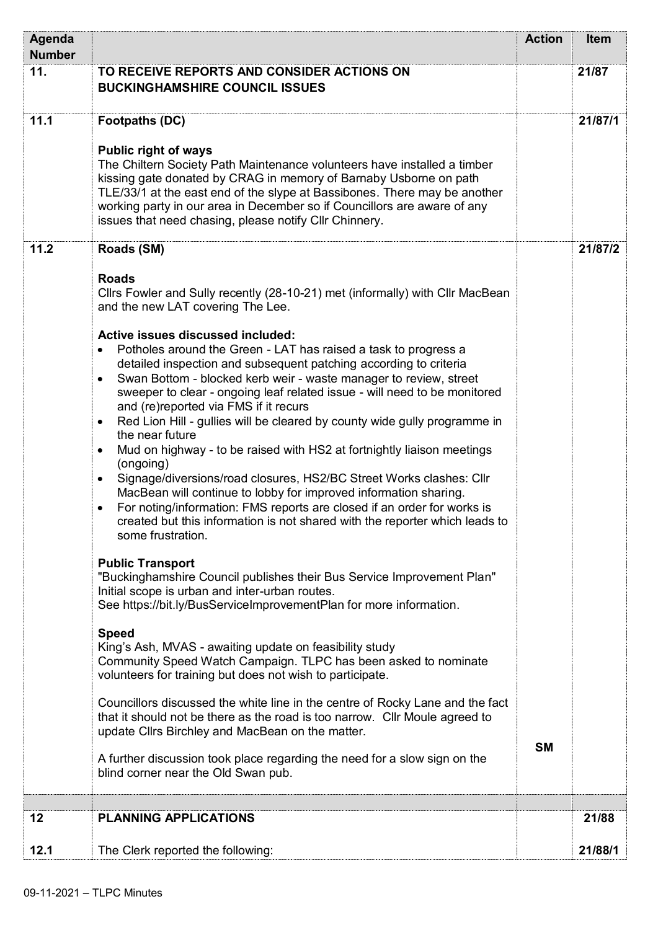| Agenda        |                                                                                                                                                                                                                                                                                                                                                                                                                                                                                                                                                                                                                                                                                                                                                                                                                                                                                                                                                                                                                                                                                                                                                                                                                                                                                                                                                                                                                                                                                                                                                                                                                                                                                                                                                                                                                                                                                                 | <b>Action</b> | <b>Item</b> |
|---------------|-------------------------------------------------------------------------------------------------------------------------------------------------------------------------------------------------------------------------------------------------------------------------------------------------------------------------------------------------------------------------------------------------------------------------------------------------------------------------------------------------------------------------------------------------------------------------------------------------------------------------------------------------------------------------------------------------------------------------------------------------------------------------------------------------------------------------------------------------------------------------------------------------------------------------------------------------------------------------------------------------------------------------------------------------------------------------------------------------------------------------------------------------------------------------------------------------------------------------------------------------------------------------------------------------------------------------------------------------------------------------------------------------------------------------------------------------------------------------------------------------------------------------------------------------------------------------------------------------------------------------------------------------------------------------------------------------------------------------------------------------------------------------------------------------------------------------------------------------------------------------------------------------|---------------|-------------|
| <b>Number</b> |                                                                                                                                                                                                                                                                                                                                                                                                                                                                                                                                                                                                                                                                                                                                                                                                                                                                                                                                                                                                                                                                                                                                                                                                                                                                                                                                                                                                                                                                                                                                                                                                                                                                                                                                                                                                                                                                                                 |               |             |
| 11.           | TO RECEIVE REPORTS AND CONSIDER ACTIONS ON<br><b>BUCKINGHAMSHIRE COUNCIL ISSUES</b>                                                                                                                                                                                                                                                                                                                                                                                                                                                                                                                                                                                                                                                                                                                                                                                                                                                                                                                                                                                                                                                                                                                                                                                                                                                                                                                                                                                                                                                                                                                                                                                                                                                                                                                                                                                                             |               | 21/87       |
| 11.1          | <b>Footpaths (DC)</b><br><b>Public right of ways</b><br>The Chiltern Society Path Maintenance volunteers have installed a timber<br>kissing gate donated by CRAG in memory of Barnaby Usborne on path<br>TLE/33/1 at the east end of the slype at Bassibones. There may be another<br>working party in our area in December so if Councillors are aware of any<br>issues that need chasing, please notify Cllr Chinnery.                                                                                                                                                                                                                                                                                                                                                                                                                                                                                                                                                                                                                                                                                                                                                                                                                                                                                                                                                                                                                                                                                                                                                                                                                                                                                                                                                                                                                                                                        |               | 21/87/1     |
| 11.2          | Roads (SM)<br><b>Roads</b><br>Cllrs Fowler and Sully recently (28-10-21) met (informally) with Cllr MacBean<br>and the new LAT covering The Lee.<br>Active issues discussed included:<br>Potholes around the Green - LAT has raised a task to progress a<br>$\bullet$<br>detailed inspection and subsequent patching according to criteria<br>Swan Bottom - blocked kerb weir - waste manager to review, street<br>$\bullet$<br>sweeper to clear - ongoing leaf related issue - will need to be monitored<br>and (re)reported via FMS if it recurs<br>Red Lion Hill - gullies will be cleared by county wide gully programme in<br>$\bullet$<br>the near future<br>Mud on highway - to be raised with HS2 at fortnightly liaison meetings<br>$\bullet$<br>(ongoing)<br>Signage/diversions/road closures, HS2/BC Street Works clashes: Cllr<br>٠<br>MacBean will continue to lobby for improved information sharing.<br>For noting/information: FMS reports are closed if an order for works is<br>$\bullet$<br>created but this information is not shared with the reporter which leads to<br>some frustration.<br><b>Public Transport</b><br>"Buckinghamshire Council publishes their Bus Service Improvement Plan"<br>Initial scope is urban and inter-urban routes.<br>See https://bit.ly/BusServiceImprovementPlan for more information.<br><b>Speed</b><br>King's Ash, MVAS - awaiting update on feasibility study<br>Community Speed Watch Campaign. TLPC has been asked to nominate<br>volunteers for training but does not wish to participate.<br>Councillors discussed the white line in the centre of Rocky Lane and the fact<br>that it should not be there as the road is too narrow. Cllr Moule agreed to<br>update Cllrs Birchley and MacBean on the matter.<br>A further discussion took place regarding the need for a slow sign on the<br>blind corner near the Old Swan pub. | <b>SM</b>     | 21/87/2     |
|               |                                                                                                                                                                                                                                                                                                                                                                                                                                                                                                                                                                                                                                                                                                                                                                                                                                                                                                                                                                                                                                                                                                                                                                                                                                                                                                                                                                                                                                                                                                                                                                                                                                                                                                                                                                                                                                                                                                 |               |             |
| 12            | <b>PLANNING APPLICATIONS</b>                                                                                                                                                                                                                                                                                                                                                                                                                                                                                                                                                                                                                                                                                                                                                                                                                                                                                                                                                                                                                                                                                                                                                                                                                                                                                                                                                                                                                                                                                                                                                                                                                                                                                                                                                                                                                                                                    |               | 21/88       |
| 12.1          | The Clerk reported the following:                                                                                                                                                                                                                                                                                                                                                                                                                                                                                                                                                                                                                                                                                                                                                                                                                                                                                                                                                                                                                                                                                                                                                                                                                                                                                                                                                                                                                                                                                                                                                                                                                                                                                                                                                                                                                                                               |               | 21/88/1     |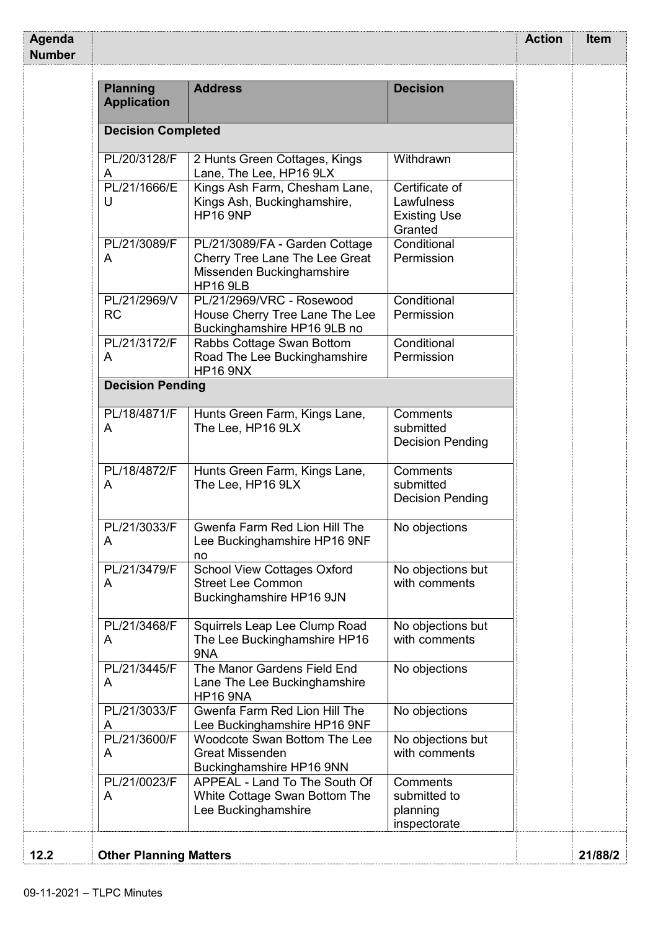| <b>Planning</b><br><b>Application</b> | <b>Address</b>                                                                                                   | <b>Decision</b>                                                |  |
|---------------------------------------|------------------------------------------------------------------------------------------------------------------|----------------------------------------------------------------|--|
| <b>Decision Completed</b>             |                                                                                                                  |                                                                |  |
| PL/20/3128/F<br>A                     | 2 Hunts Green Cottages, Kings<br>Lane, The Lee, HP16 9LX                                                         | Withdrawn                                                      |  |
| PL/21/1666/E<br>U                     | Kings Ash Farm, Chesham Lane,<br>Kings Ash, Buckinghamshire,<br><b>HP16 9NP</b>                                  | Certificate of<br>Lawfulness<br><b>Existing Use</b><br>Granted |  |
| PL/21/3089/F<br>A                     | PL/21/3089/FA - Garden Cottage<br>Cherry Tree Lane The Lee Great<br>Missenden Buckinghamshire<br><b>HP16 9LB</b> | Conditional<br>Permission                                      |  |
| PL/21/2969/V<br><b>RC</b>             | PL/21/2969/VRC - Rosewood<br>House Cherry Tree Lane The Lee<br>Buckinghamshire HP16 9LB no                       | Conditional<br>Permission                                      |  |
| PL/21/3172/F<br>A                     | Rabbs Cottage Swan Bottom<br>Road The Lee Buckinghamshire<br><b>HP16 9NX</b>                                     | Conditional<br>Permission                                      |  |
| <b>Decision Pending</b>               |                                                                                                                  |                                                                |  |
| PL/18/4871/F<br>A                     | Hunts Green Farm, Kings Lane,<br>The Lee, HP16 9LX                                                               | Comments<br>submitted<br><b>Decision Pending</b>               |  |
| PL/18/4872/F<br>A                     | Hunts Green Farm, Kings Lane,<br>The Lee, HP16 9LX                                                               | Comments<br>submitted<br><b>Decision Pending</b>               |  |
| PL/21/3033/F<br>A                     | Gwenfa Farm Red Lion Hill The<br>Lee Buckinghamshire HP16 9NF<br>no                                              | No objections                                                  |  |
| PL/21/3479/F<br>A                     | <b>School View Cottages Oxford</b><br><b>Street Lee Common</b><br>Buckinghamshire HP16 9JN                       | No objections but<br>with comments                             |  |
| PL/21/3468/F<br>A                     | Squirrels Leap Lee Clump Road<br>The Lee Buckinghamshire HP16<br>9NA                                             | No objections but<br>with comments                             |  |
| PL/21/3445/F<br>A                     | The Manor Gardens Field End<br>Lane The Lee Buckinghamshire<br><b>HP16 9NA</b>                                   | No objections                                                  |  |
| PL/21/3033/F<br>A                     | Gwenfa Farm Red Lion Hill The<br>Lee Buckinghamshire HP16 9NF                                                    | No objections                                                  |  |
| PL/21/3600/F<br>A                     | Woodcote Swan Bottom The Lee<br><b>Great Missenden</b><br>Buckinghamshire HP16 9NN                               | No objections but<br>with comments                             |  |
| PL/21/0023/F<br>A                     | APPEAL - Land To The South Of<br>White Cottage Swan Bottom The<br>Lee Buckinghamshire                            | Comments<br>submitted to<br>planning                           |  |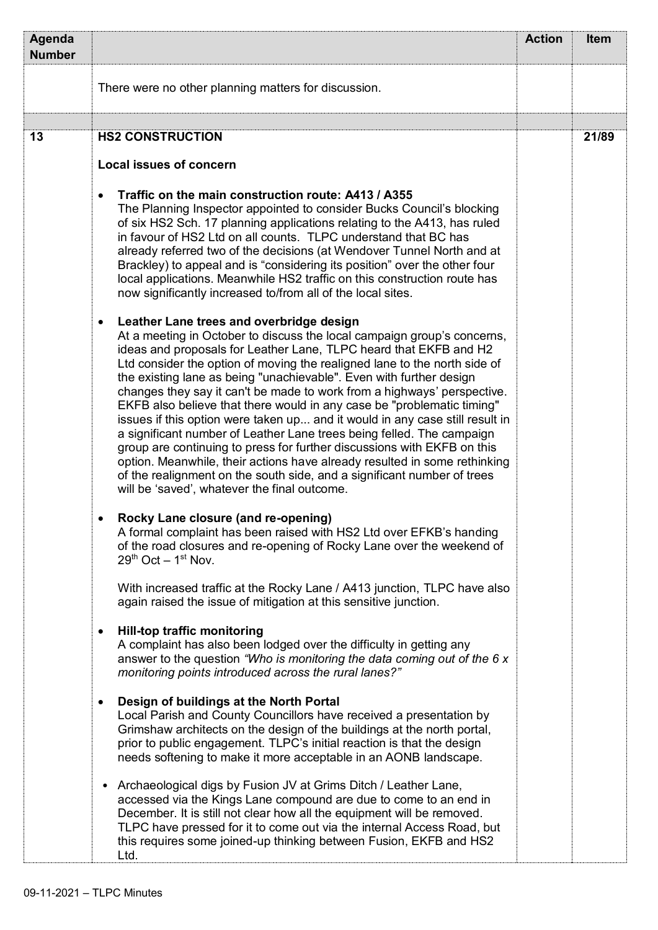| Agenda<br><b>Number</b> |                                                                                                                                                                                                                                                                                                                                                                                                                                                                                                                                                                                                                                                                                                                                                                                                                                                                                                                                                            | <b>Action</b> | <b>Item</b> |
|-------------------------|------------------------------------------------------------------------------------------------------------------------------------------------------------------------------------------------------------------------------------------------------------------------------------------------------------------------------------------------------------------------------------------------------------------------------------------------------------------------------------------------------------------------------------------------------------------------------------------------------------------------------------------------------------------------------------------------------------------------------------------------------------------------------------------------------------------------------------------------------------------------------------------------------------------------------------------------------------|---------------|-------------|
|                         | There were no other planning matters for discussion.                                                                                                                                                                                                                                                                                                                                                                                                                                                                                                                                                                                                                                                                                                                                                                                                                                                                                                       |               |             |
|                         |                                                                                                                                                                                                                                                                                                                                                                                                                                                                                                                                                                                                                                                                                                                                                                                                                                                                                                                                                            |               |             |
| 13                      | <b>HS2 CONSTRUCTION</b>                                                                                                                                                                                                                                                                                                                                                                                                                                                                                                                                                                                                                                                                                                                                                                                                                                                                                                                                    |               | 21/89       |
|                         | <b>Local issues of concern</b>                                                                                                                                                                                                                                                                                                                                                                                                                                                                                                                                                                                                                                                                                                                                                                                                                                                                                                                             |               |             |
|                         | Traffic on the main construction route: A413 / A355<br>$\bullet$<br>The Planning Inspector appointed to consider Bucks Council's blocking<br>of six HS2 Sch. 17 planning applications relating to the A413, has ruled<br>in favour of HS2 Ltd on all counts. TLPC understand that BC has<br>already referred two of the decisions (at Wendover Tunnel North and at<br>Brackley) to appeal and is "considering its position" over the other four<br>local applications. Meanwhile HS2 traffic on this construction route has<br>now significantly increased to/from all of the local sites.                                                                                                                                                                                                                                                                                                                                                                 |               |             |
|                         | Leather Lane trees and overbridge design<br>$\bullet$<br>At a meeting in October to discuss the local campaign group's concerns,<br>ideas and proposals for Leather Lane, TLPC heard that EKFB and H2<br>Ltd consider the option of moving the realigned lane to the north side of<br>the existing lane as being "unachievable". Even with further design<br>changes they say it can't be made to work from a highways' perspective.<br>EKFB also believe that there would in any case be "problematic timing"<br>issues if this option were taken up and it would in any case still result in<br>a significant number of Leather Lane trees being felled. The campaign<br>group are continuing to press for further discussions with EKFB on this<br>option. Meanwhile, their actions have already resulted in some rethinking<br>of the realignment on the south side, and a significant number of trees<br>will be 'saved', whatever the final outcome. |               |             |
|                         | Rocky Lane closure (and re-opening)<br>A formal complaint has been raised with HS2 Ltd over EFKB's handing<br>of the road closures and re-opening of Rocky Lane over the weekend of<br>$29th$ Oct $-1st$ Nov.                                                                                                                                                                                                                                                                                                                                                                                                                                                                                                                                                                                                                                                                                                                                              |               |             |
|                         | With increased traffic at the Rocky Lane / A413 junction, TLPC have also<br>again raised the issue of mitigation at this sensitive junction.                                                                                                                                                                                                                                                                                                                                                                                                                                                                                                                                                                                                                                                                                                                                                                                                               |               |             |
|                         | Hill-top traffic monitoring<br>$\bullet$<br>A complaint has also been lodged over the difficulty in getting any<br>answer to the question "Who is monitoring the data coming out of the 6 x<br>monitoring points introduced across the rural lanes?"                                                                                                                                                                                                                                                                                                                                                                                                                                                                                                                                                                                                                                                                                                       |               |             |
|                         | Design of buildings at the North Portal<br>$\bullet$<br>Local Parish and County Councillors have received a presentation by<br>Grimshaw architects on the design of the buildings at the north portal,<br>prior to public engagement. TLPC's initial reaction is that the design<br>needs softening to make it more acceptable in an AONB landscape.                                                                                                                                                                                                                                                                                                                                                                                                                                                                                                                                                                                                       |               |             |
|                         | Archaeological digs by Fusion JV at Grims Ditch / Leather Lane,<br>accessed via the Kings Lane compound are due to come to an end in<br>December. It is still not clear how all the equipment will be removed.<br>TLPC have pressed for it to come out via the internal Access Road, but<br>this requires some joined-up thinking between Fusion, EKFB and HS2<br>Ltd.                                                                                                                                                                                                                                                                                                                                                                                                                                                                                                                                                                                     |               |             |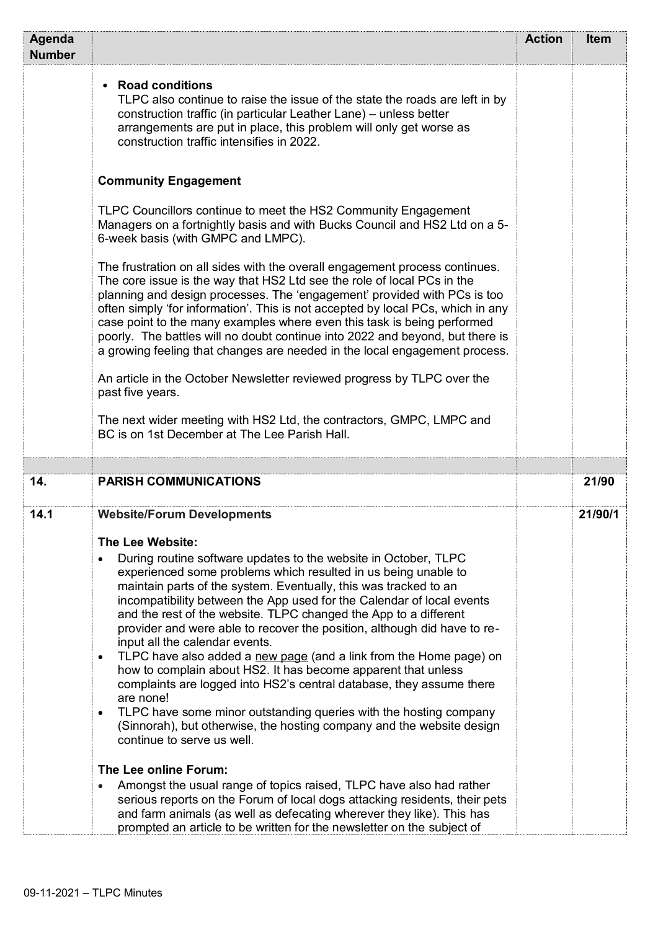| Agenda<br><b>Number</b> |                                                                                                                                                                                                                                                                                                                                                                                                                                                                                                                                                                                                                                                                                                                                                                                                                                                                                       | <b>Action</b> | Item    |
|-------------------------|---------------------------------------------------------------------------------------------------------------------------------------------------------------------------------------------------------------------------------------------------------------------------------------------------------------------------------------------------------------------------------------------------------------------------------------------------------------------------------------------------------------------------------------------------------------------------------------------------------------------------------------------------------------------------------------------------------------------------------------------------------------------------------------------------------------------------------------------------------------------------------------|---------------|---------|
|                         | • Road conditions<br>TLPC also continue to raise the issue of the state the roads are left in by<br>construction traffic (in particular Leather Lane) - unless better<br>arrangements are put in place, this problem will only get worse as<br>construction traffic intensifies in 2022.                                                                                                                                                                                                                                                                                                                                                                                                                                                                                                                                                                                              |               |         |
|                         | <b>Community Engagement</b>                                                                                                                                                                                                                                                                                                                                                                                                                                                                                                                                                                                                                                                                                                                                                                                                                                                           |               |         |
|                         | TLPC Councillors continue to meet the HS2 Community Engagement<br>Managers on a fortnightly basis and with Bucks Council and HS2 Ltd on a 5-<br>6-week basis (with GMPC and LMPC).                                                                                                                                                                                                                                                                                                                                                                                                                                                                                                                                                                                                                                                                                                    |               |         |
|                         | The frustration on all sides with the overall engagement process continues.<br>The core issue is the way that HS2 Ltd see the role of local PCs in the<br>planning and design processes. The 'engagement' provided with PCs is too<br>often simply 'for information'. This is not accepted by local PCs, which in any<br>case point to the many examples where even this task is being performed<br>poorly. The battles will no doubt continue into 2022 and beyond, but there is<br>a growing feeling that changes are needed in the local engagement process.                                                                                                                                                                                                                                                                                                                       |               |         |
|                         | An article in the October Newsletter reviewed progress by TLPC over the<br>past five years.                                                                                                                                                                                                                                                                                                                                                                                                                                                                                                                                                                                                                                                                                                                                                                                           |               |         |
|                         | The next wider meeting with HS2 Ltd, the contractors, GMPC, LMPC and<br>BC is on 1st December at The Lee Parish Hall.                                                                                                                                                                                                                                                                                                                                                                                                                                                                                                                                                                                                                                                                                                                                                                 |               |         |
|                         |                                                                                                                                                                                                                                                                                                                                                                                                                                                                                                                                                                                                                                                                                                                                                                                                                                                                                       |               |         |
| 14.                     | <b>PARISH COMMUNICATIONS</b>                                                                                                                                                                                                                                                                                                                                                                                                                                                                                                                                                                                                                                                                                                                                                                                                                                                          |               | 21/90   |
| 14.1                    | <b>Website/Forum Developments</b>                                                                                                                                                                                                                                                                                                                                                                                                                                                                                                                                                                                                                                                                                                                                                                                                                                                     |               | 21/90/1 |
|                         | The Lee Website:                                                                                                                                                                                                                                                                                                                                                                                                                                                                                                                                                                                                                                                                                                                                                                                                                                                                      |               |         |
|                         | During routine software updates to the website in October, TLPC<br>experienced some problems which resulted in us being unable to<br>maintain parts of the system. Eventually, this was tracked to an<br>incompatibility between the App used for the Calendar of local events<br>and the rest of the website. TLPC changed the App to a different<br>provider and were able to recover the position, although did have to re-<br>input all the calendar events.<br>TLPC have also added a new page (and a link from the Home page) on<br>$\bullet$<br>how to complain about HS2. It has become apparent that unless<br>complaints are logged into HS2's central database, they assume there<br>are none!<br>TLPC have some minor outstanding queries with the hosting company<br>(Sinnorah), but otherwise, the hosting company and the website design<br>continue to serve us well. |               |         |
|                         | The Lee online Forum:                                                                                                                                                                                                                                                                                                                                                                                                                                                                                                                                                                                                                                                                                                                                                                                                                                                                 |               |         |
|                         | Amongst the usual range of topics raised, TLPC have also had rather<br>serious reports on the Forum of local dogs attacking residents, their pets<br>and farm animals (as well as defecating wherever they like). This has<br>prompted an article to be written for the newsletter on the subject of                                                                                                                                                                                                                                                                                                                                                                                                                                                                                                                                                                                  |               |         |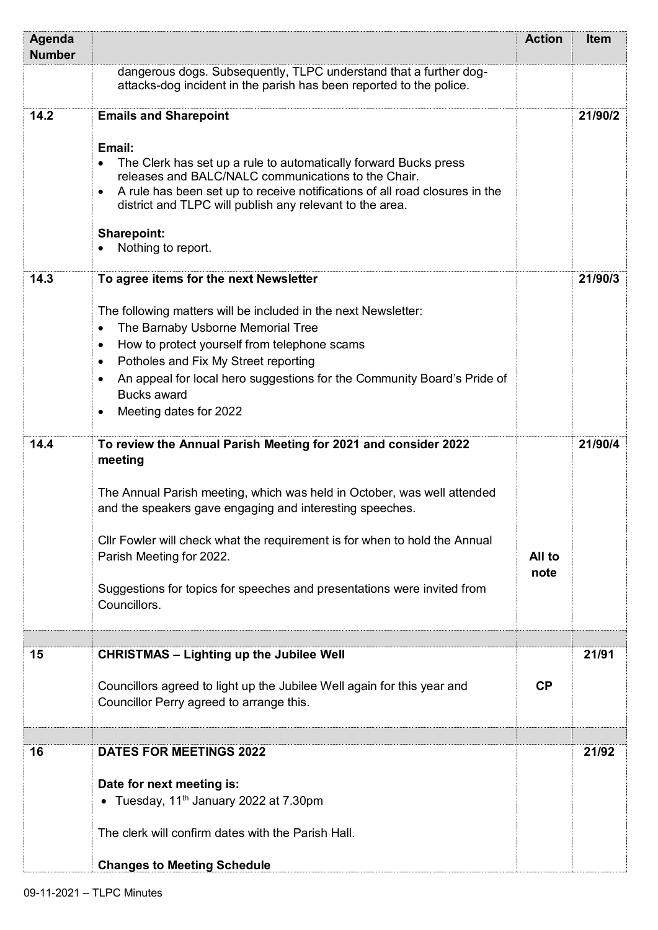| Agenda<br><b>Number</b> |                                                                                                                                                                                                                                                                                                                                                                                                                                                                      | <b>Action</b>  | <b>Item</b> |
|-------------------------|----------------------------------------------------------------------------------------------------------------------------------------------------------------------------------------------------------------------------------------------------------------------------------------------------------------------------------------------------------------------------------------------------------------------------------------------------------------------|----------------|-------------|
|                         | dangerous dogs. Subsequently, TLPC understand that a further dog-<br>attacks-dog incident in the parish has been reported to the police.                                                                                                                                                                                                                                                                                                                             |                |             |
| 14.2                    | <b>Emails and Sharepoint</b>                                                                                                                                                                                                                                                                                                                                                                                                                                         |                | 21/90/2     |
|                         | Email:<br>The Clerk has set up a rule to automatically forward Bucks press<br>$\bullet$<br>releases and BALC/NALC communications to the Chair.<br>A rule has been set up to receive notifications of all road closures in the<br>$\bullet$<br>district and TLPC will publish any relevant to the area.<br><b>Sharepoint:</b><br>Nothing to report.                                                                                                                   |                |             |
| 14.3                    | To agree items for the next Newsletter                                                                                                                                                                                                                                                                                                                                                                                                                               |                | 21/90/3     |
| 14.4                    | The following matters will be included in the next Newsletter:<br>The Barnaby Usborne Memorial Tree<br>$\bullet$<br>How to protect yourself from telephone scams<br>$\bullet$<br>Potholes and Fix My Street reporting<br>$\bullet$<br>An appeal for local hero suggestions for the Community Board's Pride of<br>$\bullet$<br><b>Bucks award</b><br>Meeting dates for 2022<br>$\bullet$<br>To review the Annual Parish Meeting for 2021 and consider 2022<br>meeting |                | 21/90/4     |
|                         | The Annual Parish meeting, which was held in October, was well attended<br>and the speakers gave engaging and interesting speeches.<br>Cllr Fowler will check what the requirement is for when to hold the Annual<br>Parish Meeting for 2022.<br>Suggestions for topics for speeches and presentations were invited from<br>Councillors.                                                                                                                             | All to<br>note |             |
| 15                      | <b>CHRISTMAS - Lighting up the Jubilee Well</b>                                                                                                                                                                                                                                                                                                                                                                                                                      |                | 21/91       |
|                         | Councillors agreed to light up the Jubilee Well again for this year and<br>Councillor Perry agreed to arrange this.                                                                                                                                                                                                                                                                                                                                                  | CP             |             |
| 16                      | <b>DATES FOR MEETINGS 2022</b>                                                                                                                                                                                                                                                                                                                                                                                                                                       |                | 21/92       |
|                         | Date for next meeting is:<br>• Tuesday, $11th$ January 2022 at 7.30pm<br>The clerk will confirm dates with the Parish Hall.<br><b>Changes to Meeting Schedule</b>                                                                                                                                                                                                                                                                                                    |                |             |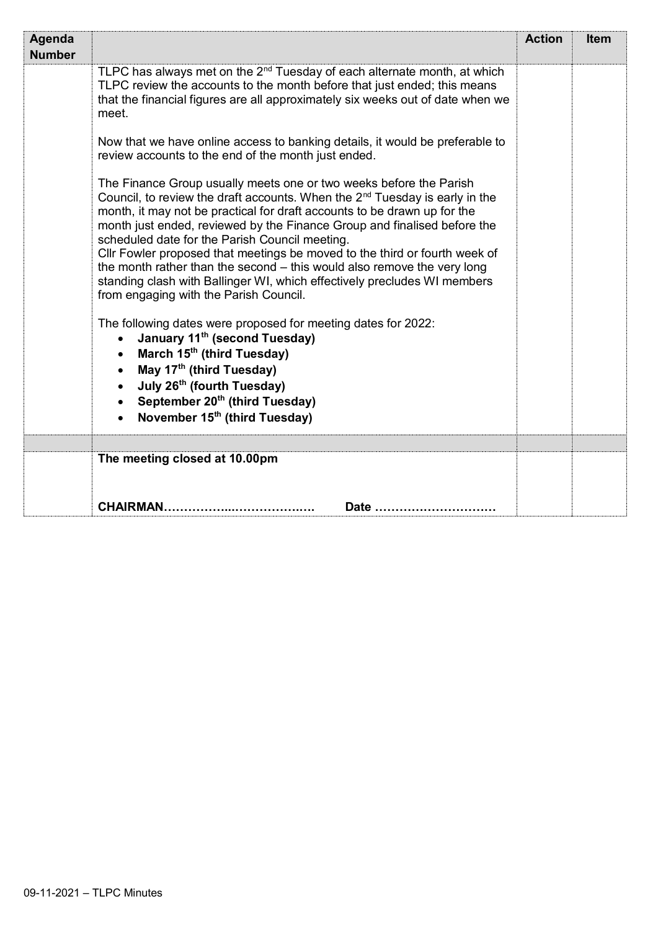| Agenda<br><b>Number</b> |                                                                                                                                                                                                                                                                                                                                                                                                                                                                                                                                                                                                                                                                                                                                                                                                                                                                                                                                                                                                                       | <b>Action</b> | <b>Item</b> |
|-------------------------|-----------------------------------------------------------------------------------------------------------------------------------------------------------------------------------------------------------------------------------------------------------------------------------------------------------------------------------------------------------------------------------------------------------------------------------------------------------------------------------------------------------------------------------------------------------------------------------------------------------------------------------------------------------------------------------------------------------------------------------------------------------------------------------------------------------------------------------------------------------------------------------------------------------------------------------------------------------------------------------------------------------------------|---------------|-------------|
|                         | TLPC has always met on the 2 <sup>nd</sup> Tuesday of each alternate month, at which<br>TLPC review the accounts to the month before that just ended; this means<br>that the financial figures are all approximately six weeks out of date when we<br>meet.                                                                                                                                                                                                                                                                                                                                                                                                                                                                                                                                                                                                                                                                                                                                                           |               |             |
|                         | Now that we have online access to banking details, it would be preferable to<br>review accounts to the end of the month just ended.                                                                                                                                                                                                                                                                                                                                                                                                                                                                                                                                                                                                                                                                                                                                                                                                                                                                                   |               |             |
|                         | The Finance Group usually meets one or two weeks before the Parish<br>Council, to review the draft accounts. When the 2 <sup>nd</sup> Tuesday is early in the<br>month, it may not be practical for draft accounts to be drawn up for the<br>month just ended, reviewed by the Finance Group and finalised before the<br>scheduled date for the Parish Council meeting.<br>Cllr Fowler proposed that meetings be moved to the third or fourth week of<br>the month rather than the second - this would also remove the very long<br>standing clash with Ballinger WI, which effectively precludes WI members<br>from engaging with the Parish Council.<br>The following dates were proposed for meeting dates for 2022:<br>January 11 <sup>th</sup> (second Tuesday)<br>$\bullet$<br>March 15 <sup>th</sup> (third Tuesday)<br>May 17 <sup>th</sup> (third Tuesday)<br>$\bullet$<br>July 26 <sup>th</sup> (fourth Tuesday)<br>September 20 <sup>th</sup> (third Tuesday)<br>November 15 <sup>th</sup> (third Tuesday) |               |             |
|                         |                                                                                                                                                                                                                                                                                                                                                                                                                                                                                                                                                                                                                                                                                                                                                                                                                                                                                                                                                                                                                       |               |             |
|                         | The meeting closed at 10.00pm                                                                                                                                                                                                                                                                                                                                                                                                                                                                                                                                                                                                                                                                                                                                                                                                                                                                                                                                                                                         |               |             |
|                         | <b>CHAIRMAN.</b><br>Date                                                                                                                                                                                                                                                                                                                                                                                                                                                                                                                                                                                                                                                                                                                                                                                                                                                                                                                                                                                              |               |             |